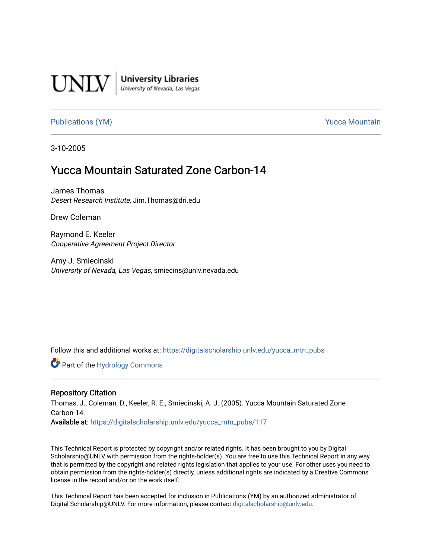

**University Libraries**<br>University of Nevada, Las Vegas

## [Publications \(YM\)](https://digitalscholarship.unlv.edu/yucca_mtn_pubs) **Publications** (YM) **Publications** (YM)

3-10-2005

# Yucca Mountain Saturated Zone Carbon-14

James Thomas Desert Research Institute, Jim.Thomas@dri.edu

Drew Coleman

Raymond E. Keeler Cooperative Agreement Project Director

Amy J. Smiecinski University of Nevada, Las Vegas, smiecins@unlv.nevada.edu

Follow this and additional works at: [https://digitalscholarship.unlv.edu/yucca\\_mtn\\_pubs](https://digitalscholarship.unlv.edu/yucca_mtn_pubs?utm_source=digitalscholarship.unlv.edu%2Fyucca_mtn_pubs%2F117&utm_medium=PDF&utm_campaign=PDFCoverPages)

Part of the [Hydrology Commons](http://network.bepress.com/hgg/discipline/1054?utm_source=digitalscholarship.unlv.edu%2Fyucca_mtn_pubs%2F117&utm_medium=PDF&utm_campaign=PDFCoverPages) 

#### Repository Citation

Thomas, J., Coleman, D., Keeler, R. E., Smiecinski, A. J. (2005). Yucca Mountain Saturated Zone Carbon-14.

Available at: [https://digitalscholarship.unlv.edu/yucca\\_mtn\\_pubs/117](https://digitalscholarship.unlv.edu/yucca_mtn_pubs/117) 

This Technical Report is protected by copyright and/or related rights. It has been brought to you by Digital Scholarship@UNLV with permission from the rights-holder(s). You are free to use this Technical Report in any way that is permitted by the copyright and related rights legislation that applies to your use. For other uses you need to obtain permission from the rights-holder(s) directly, unless additional rights are indicated by a Creative Commons license in the record and/or on the work itself.

This Technical Report has been accepted for inclusion in Publications (YM) by an authorized administrator of Digital Scholarship@UNLV. For more information, please contact [digitalscholarship@unlv.edu](mailto:digitalscholarship@unlv.edu).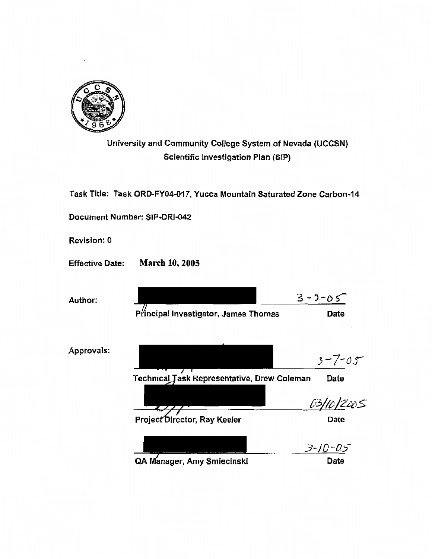

University and Community College System of Nevada (UCCSN) Scientific Investigation Plan (SIP)

Task Title: Task ORD-FY04-017, Yucca Mountain Saturated Zone Carbon~14

Document Number: SIP·DRJ-042

Revision! 0

Effective Date: March 10, 2005

| Author:    |                                             | $3 - 2 - 65$  |
|------------|---------------------------------------------|---------------|
|            | Principal Investigator, James Thomas        | Date          |
|            |                                             |               |
| Approvals: |                                             | $3 - 7 - 05$  |
|            | Technical Task Representative, Drew Coleman | Date          |
|            |                                             | 10/2005       |
|            | Project Director, Ray Keeler                | Date          |
|            |                                             | $3 - 10 - 05$ |
|            | QA Manager, Amy Smiecinski                  | Date          |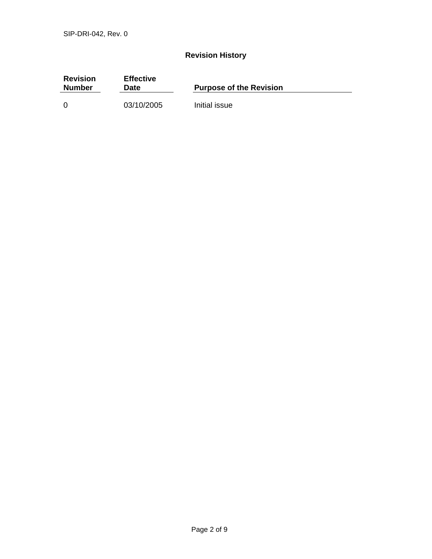## **Revision History**

| <b>Revision</b><br><b>Number</b> | <b>Effective</b><br>Date | <b>Purpose of the Revision</b> |
|----------------------------------|--------------------------|--------------------------------|
| -0                               | 03/10/2005               | Initial issue                  |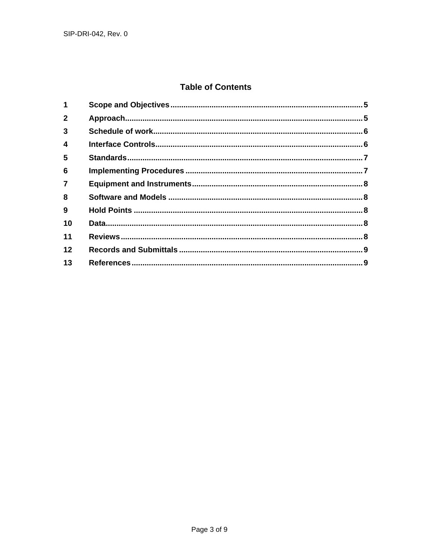## **Table of Contents**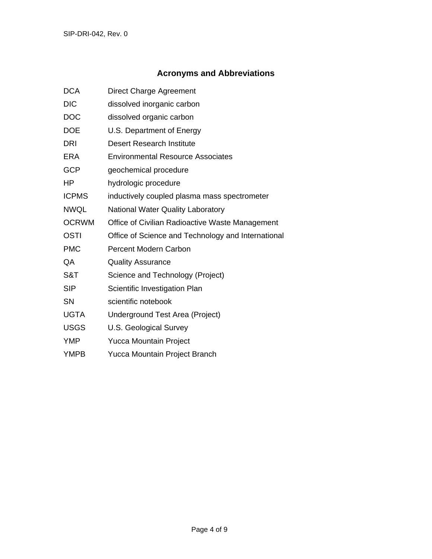## **Acronyms and Abbreviations**

| <b>DCA</b>   | <b>Direct Charge Agreement</b>                     |  |
|--------------|----------------------------------------------------|--|
| <b>DIC</b>   | dissolved inorganic carbon                         |  |
| <b>DOC</b>   | dissolved organic carbon                           |  |
| <b>DOE</b>   | U.S. Department of Energy                          |  |
| <b>DRI</b>   | <b>Desert Research Institute</b>                   |  |
| <b>ERA</b>   | <b>Environmental Resource Associates</b>           |  |
| <b>GCP</b>   | geochemical procedure                              |  |
| <b>HP</b>    | hydrologic procedure                               |  |
| <b>ICPMS</b> | inductively coupled plasma mass spectrometer       |  |
| <b>NWQL</b>  | <b>National Water Quality Laboratory</b>           |  |
| <b>OCRWM</b> | Office of Civilian Radioactive Waste Management    |  |
| <b>OSTI</b>  | Office of Science and Technology and International |  |
| <b>PMC</b>   | <b>Percent Modern Carbon</b>                       |  |
| QA           | <b>Quality Assurance</b>                           |  |
| S&T          | Science and Technology (Project)                   |  |
| <b>SIP</b>   | Scientific Investigation Plan                      |  |
| <b>SN</b>    | scientific notebook                                |  |
| <b>UGTA</b>  | Underground Test Area (Project)                    |  |
| <b>USGS</b>  | U.S. Geological Survey                             |  |
| <b>YMP</b>   | <b>Yucca Mountain Project</b>                      |  |
| <b>YMPB</b>  | Yucca Mountain Project Branch                      |  |
|              |                                                    |  |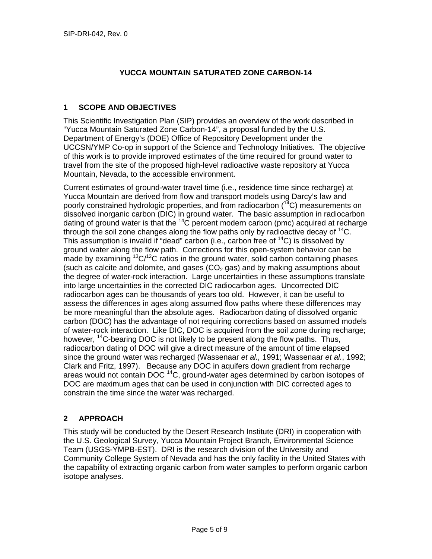## **YUCCA MOUNTAIN SATURATED ZONE CARBON-14**

#### **1 SCOPE AND OBJECTIVES**

This Scientific Investigation Plan (SIP) provides an overview of the work described in "Yucca Mountain Saturated Zone Carbon-14", a proposal funded by the U.S. Department of Energy's (DOE) Office of Repository Development under the UCCSN/YMP Co-op in support of the Science and Technology Initiatives. The objective of this work is to provide improved estimates of the time required for ground water to travel from the site of the proposed high-level radioactive waste repository at Yucca Mountain, Nevada, to the accessible environment.

Current estimates of ground-water travel time (i.e., residence time since recharge) at Yucca Mountain are derived from flow and transport models using Darcy's law and poorly constrained hydrologic properties, and from radiocarbon  $(^{14}C)$  measurements on dissolved inorganic carbon (DIC) in ground water. The basic assumption in radiocarbon dating of ground water is that the  $14C$  percent modern carbon (pmc) acquired at recharge through the soil zone changes along the flow paths only by radioactive decay of  $^{14}$ C. This assumption is invalid if "dead" carbon (i.e., carbon free of  ${}^{14}C$ ) is dissolved by ground water along the flow path. Corrections for this open-system behavior can be made by examining  ${}^{13}C/{}^{12}C$  ratios in the ground water, solid carbon containing phases (such as calcite and dolomite, and gases  $(CO<sub>2</sub>$  gas) and by making assumptions about the degree of water-rock interaction. Large uncertainties in these assumptions translate into large uncertainties in the corrected DIC radiocarbon ages. Uncorrected DIC radiocarbon ages can be thousands of years too old. However, it can be useful to assess the differences in ages along assumed flow paths where these differences may be more meaningful than the absolute ages. Radiocarbon dating of dissolved organic carbon (DOC) has the advantage of not requiring corrections based on assumed models of water-rock interaction. Like DIC, DOC is acquired from the soil zone during recharge; however,  $^{14}$ C-bearing DOC is not likely to be present along the flow paths. Thus, radiocarbon dating of DOC will give a direct measure of the amount of time elapsed since the ground water was recharged (Wassenaar *et al.,* 1991; Wassenaar *et al.*, 1992; Clark and Fritz, 1997). Because any DOC in aquifers down gradient from recharge areas would not contain DOC<sup>14</sup>C, ground-water ages determined by carbon isotopes of DOC are maximum ages that can be used in conjunction with DIC corrected ages to constrain the time since the water was recharged.

## **2 APPROACH**

This study will be conducted by the Desert Research Institute (DRI) in cooperation with the U.S. Geological Survey, Yucca Mountain Project Branch, Environmental Science Team (USGS-YMPB-EST). DRI is the research division of the University and Community College System of Nevada and has the only facility in the United States with the capability of extracting organic carbon from water samples to perform organic carbon isotope analyses.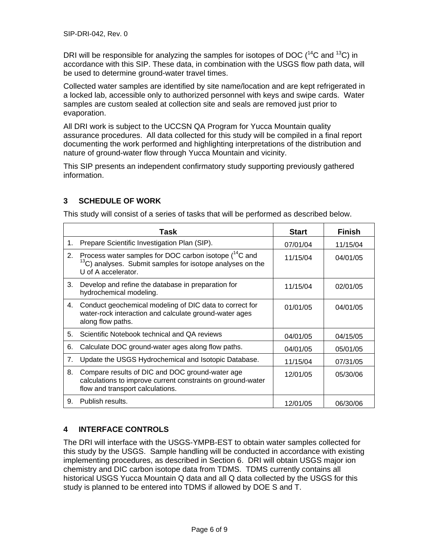DRI will be responsible for analyzing the samples for isotopes of DOC  $(^{14}C$  and  $^{13}C$ ) in accordance with this SIP. These data, in combination with the USGS flow path data, will be used to determine ground-water travel times.

Collected water samples are identified by site name/location and are kept refrigerated in a locked lab, accessible only to authorized personnel with keys and swipe cards. Water samples are custom sealed at collection site and seals are removed just prior to evaporation.

All DRI work is subject to the UCCSN QA Program for Yucca Mountain quality assurance procedures. All data collected for this study will be compiled in a final report documenting the work performed and highlighting interpretations of the distribution and nature of ground-water flow through Yucca Mountain and vicinity.

This SIP presents an independent confirmatory study supporting previously gathered information.

#### **3 SCHEDULE OF WORK**

This study will consist of a series of tasks that will be performed as described below.

|    | Task                                                                                                                                                       | <b>Start</b> | <b>Finish</b> |
|----|------------------------------------------------------------------------------------------------------------------------------------------------------------|--------------|---------------|
| 1. | Prepare Scientific Investigation Plan (SIP).                                                                                                               | 07/01/04     | 11/15/04      |
| 2. | Process water samples for DOC carbon isotope $(^{14}C$ and<br><sup>13</sup> C) analyses. Submit samples for isotope analyses on the<br>U of A accelerator. | 11/15/04     | 04/01/05      |
| 3. | Develop and refine the database in preparation for<br>hydrochemical modeling.                                                                              | 11/15/04     | 02/01/05      |
| 4. | Conduct geochemical modeling of DIC data to correct for<br>water-rock interaction and calculate ground-water ages<br>along flow paths.                     | 01/01/05     | 04/01/05      |
| 5. | Scientific Notebook technical and QA reviews                                                                                                               | 04/01/05     | 04/15/05      |
| 6. | Calculate DOC ground-water ages along flow paths.                                                                                                          | 04/01/05     | 05/01/05      |
| 7. | Update the USGS Hydrochemical and Isotopic Database.                                                                                                       | 11/15/04     | 07/31/05      |
| 8. | Compare results of DIC and DOC ground-water age<br>calculations to improve current constraints on ground-water<br>flow and transport calculations.         | 12/01/05     | 05/30/06      |
| 9. | Publish results.                                                                                                                                           | 12/01/05     | 06/30/06      |

#### **4 INTERFACE CONTROLS**

The DRI will interface with the USGS-YMPB-EST to obtain water samples collected for this study by the USGS. Sample handling will be conducted in accordance with existing implementing procedures, as described in Section 6. DRI will obtain USGS major ion chemistry and DIC carbon isotope data from TDMS. TDMS currently contains all historical USGS Yucca Mountain Q data and all Q data collected by the USGS for this study is planned to be entered into TDMS if allowed by DOE S and T.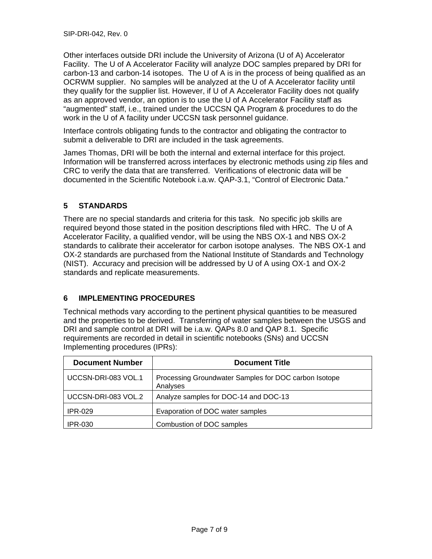Other interfaces outside DRI include the University of Arizona (U of A) Accelerator Facility. The U of A Accelerator Facility will analyze DOC samples prepared by DRI for carbon-13 and carbon-14 isotopes. The U of A is in the process of being qualified as an OCRWM supplier. No samples will be analyzed at the U of A Accelerator facility until they qualify for the supplier list. However, if U of A Accelerator Facility does not qualify as an approved vendor, an option is to use the U of A Accelerator Facility staff as "augmented" staff, i.e., trained under the UCCSN QA Program & procedures to do the work in the U of A facility under UCCSN task personnel guidance.

Interface controls obligating funds to the contractor and obligating the contractor to submit a deliverable to DRI are included in the task agreements.

James Thomas, DRI will be both the internal and external interface for this project. Information will be transferred across interfaces by electronic methods using zip files and CRC to verify the data that are transferred. Verifications of electronic data will be documented in the Scientific Notebook i.a.w. QAP-3.1, "Control of Electronic Data."

## **5 STANDARDS**

There are no special standards and criteria for this task. No specific job skills are required beyond those stated in the position descriptions filed with HRC. The U of A Accelerator Facility, a qualified vendor, will be using the NBS OX-1 and NBS OX-2 standards to calibrate their accelerator for carbon isotope analyses. The NBS OX-1 and OX-2 standards are purchased from the National Institute of Standards and Technology (NIST). Accuracy and precision will be addressed by U of A using OX-1 and OX-2 standards and replicate measurements.

## **6 IMPLEMENTING PROCEDURES**

Technical methods vary according to the pertinent physical quantities to be measured and the properties to be derived. Transferring of water samples between the USGS and DRI and sample control at DRI will be i.a.w. QAPs 8.0 and QAP 8.1. Specific requirements are recorded in detail in scientific notebooks (SNs) and UCCSN Implementing procedures (IPRs):

| <b>Document Number</b> | <b>Document Title</b>                                             |
|------------------------|-------------------------------------------------------------------|
| UCCSN-DRI-083 VOL.1    | Processing Groundwater Samples for DOC carbon Isotope<br>Analyses |
| UCCSN-DRI-083 VOL.2    | Analyze samples for DOC-14 and DOC-13                             |
| <b>IPR-029</b>         | Evaporation of DOC water samples                                  |
| <b>IPR-030</b>         | Combustion of DOC samples                                         |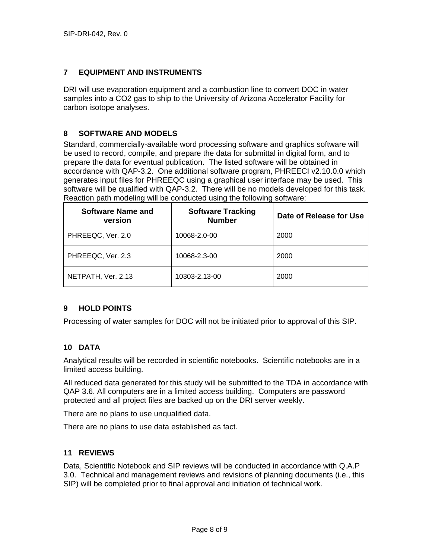#### **7 EQUIPMENT AND INSTRUMENTS**

DRI will use evaporation equipment and a combustion line to convert DOC in water samples into a CO2 gas to ship to the University of Arizona Accelerator Facility for carbon isotope analyses.

#### **8 SOFTWARE AND MODELS**

Standard, commercially-available word processing software and graphics software will be used to record, compile, and prepare the data for submittal in digital form, and to prepare the data for eventual publication. The listed software will be obtained in accordance with QAP-3.2. One additional software program, PHREECI v2.10.0.0 which generates input files for PHREEQC using a graphical user interface may be used. This software will be qualified with QAP-3.2. There will be no models developed for this task. Reaction path modeling will be conducted using the following software:

| <b>Software Name and</b><br>version | <b>Software Tracking</b><br><b>Number</b> | Date of Release for Use |
|-------------------------------------|-------------------------------------------|-------------------------|
| PHREEQC, Ver. 2.0                   | 10068-2.0-00                              | 2000                    |
| PHREEQC, Ver. 2.3                   | 10068-2.3-00                              | 2000                    |
| NETPATH, Ver. 2.13                  | 10303-2.13-00                             | 2000                    |

#### **9 HOLD POINTS**

Processing of water samples for DOC will not be initiated prior to approval of this SIP.

#### **10 DATA**

Analytical results will be recorded in scientific notebooks. Scientific notebooks are in a limited access building.

All reduced data generated for this study will be submitted to the TDA in accordance with QAP 3.6. All computers are in a limited access building. Computers are password protected and all project files are backed up on the DRI server weekly.

There are no plans to use unqualified data.

There are no plans to use data established as fact.

#### **11 REVIEWS**

Data, Scientific Notebook and SIP reviews will be conducted in accordance with Q.A.P 3.0. Technical and management reviews and revisions of planning documents (i.e., this SIP) will be completed prior to final approval and initiation of technical work.